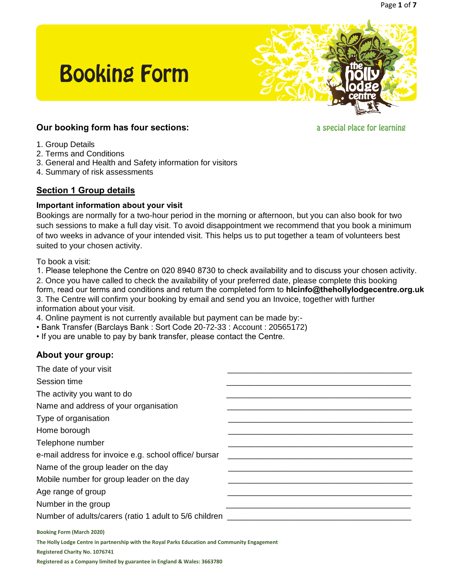

## **Our booking form has four sections:**

**Booking Form** 

a special place for learning

- 1. Group Details
- 2. Terms and Conditions
- 3. General and Health and Safety information for visitors
- 4. Summary of risk assessments

## **Section 1 Group details**

#### **Important information about your visit**

Bookings are normally for a two-hour period in the morning or afternoon, but you can also book for two such sessions to make a full day visit. To avoid disappointment we recommend that you book a minimum of two weeks in advance of your intended visit. This helps us to put together a team of volunteers best suited to your chosen activity.

To book a visit:

2. Once you have called to check the availability of your preferred date, please complete this booking 3. The Centre will confirm your booking by email and send you an Invoice, together with further information about your visit. 1. Please telephone the Centre on 020 8940 8730 to check availability and to discuss your chosen activity. form, read our terms and conditions and return the completed form to **hlcinfo@thehollylodgecentre.org.uk**

4. Online payment is not currently available but payment can be made by:-

- Bank Transfer (Barclays Bank : Sort Code 20-72-33 : Account : 20565172)
- If you are unable to pay by bank transfer, please contact the Centre.

## **About your group:**

| The date of your visit                                   |  |
|----------------------------------------------------------|--|
| Session time                                             |  |
| The activity you want to do                              |  |
| Name and address of your organisation                    |  |
| Type of organisation                                     |  |
| Home borough                                             |  |
| Telephone number                                         |  |
| e-mail address for invoice e.g. school office/ bursar    |  |
| Name of the group leader on the day                      |  |
| Mobile number for group leader on the day                |  |
| Age range of group                                       |  |
| Number in the group                                      |  |
| Number of adults/carers (ratio 1 adult to 5/6 children _ |  |
| <b>Booking Form (March 2020)</b>                         |  |

**The Holly Lodge Centre in partnership with the Royal Parks Education and Community Engagement** 

**Registered Charity No. 1076741**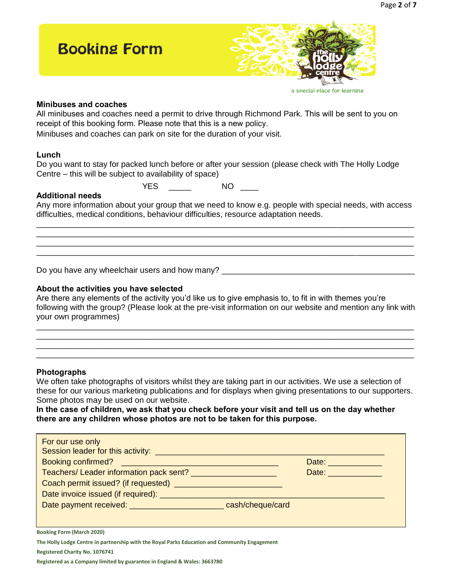

#### **Minibuses and coaches**

All minibuses and coaches need a permit to drive through Richmond Park. This will be sent to you on receipt of this booking form. Please note that this is a new policy.

Minibuses and coaches can park on site for the duration of your visit.

#### **Lunch**

Do you want to stay for packed lunch before or after your session (please check with The Holly Lodge Centre – this will be subject to availability of space)

YES NO NO

#### **Additional needs**

Any more information about your group that we need to know e.g. people with special needs, with access difficulties, medical conditions, behaviour difficulties, resource adaptation needs. \_\_\_\_\_\_\_\_\_\_\_\_\_\_\_\_\_\_\_\_\_\_\_\_\_\_\_\_\_\_\_\_\_\_\_\_\_\_\_\_\_\_\_\_\_\_\_\_\_\_\_\_\_\_\_\_\_\_\_\_\_\_\_\_\_\_\_\_\_\_\_\_\_\_\_\_\_\_\_\_\_\_\_\_

\_\_\_\_\_\_\_\_\_\_\_\_\_\_\_\_\_\_\_\_\_\_\_\_\_\_\_\_\_\_\_\_\_\_\_\_\_\_\_\_\_\_\_\_\_\_\_\_\_\_\_\_\_\_\_\_\_\_\_\_\_\_\_\_\_\_\_\_\_\_\_\_\_\_\_\_\_\_\_\_\_\_\_\_ \_\_\_\_\_\_\_\_\_\_\_\_\_\_\_\_\_\_\_\_\_\_\_\_\_\_\_\_\_\_\_\_\_\_\_\_\_\_\_\_\_\_\_\_\_\_\_\_\_\_\_\_\_\_\_\_\_\_\_\_\_\_\_\_\_\_\_\_\_\_\_\_\_\_\_\_\_\_\_\_\_\_\_\_ \_\_\_\_\_\_\_\_\_\_\_\_\_\_\_\_\_\_\_\_\_\_\_\_\_\_\_\_\_\_\_\_\_\_\_\_\_\_\_\_\_\_\_\_\_\_\_\_\_\_\_\_\_\_\_\_\_\_\_\_\_\_\_\_\_\_\_\_\_\_\_\_\_\_\_\_\_\_\_\_\_\_\_\_

Do you have any wheelchair users and how many? \_\_\_\_\_\_\_\_\_\_\_\_\_\_\_\_\_\_\_\_\_\_\_\_\_\_\_\_\_\_\_\_\_

#### **About the activities you have selected**

Are there any elements of the activity you'd like us to give emphasis to, to fit in with themes you're following with the group? (Please look at the pre-visit information on our website and mention any link with your own programmes)

\_\_\_\_\_\_\_\_\_\_\_\_\_\_\_\_\_\_\_\_\_\_\_\_\_\_\_\_\_\_\_\_\_\_\_\_\_\_\_\_\_\_\_\_\_\_\_\_\_\_\_\_\_\_\_\_\_\_\_\_\_\_\_\_\_\_\_\_\_\_\_\_\_\_\_\_\_\_\_\_\_\_\_\_ \_\_\_\_\_\_\_\_\_\_\_\_\_\_\_\_\_\_\_\_\_\_\_\_\_\_\_\_\_\_\_\_\_\_\_\_\_\_\_\_\_\_\_\_\_\_\_\_\_\_\_\_\_\_\_\_\_\_\_\_\_\_\_\_\_\_\_\_\_\_\_\_\_\_\_\_\_\_\_\_\_\_\_\_ \_\_\_\_\_\_\_\_\_\_\_\_\_\_\_\_\_\_\_\_\_\_\_\_\_\_\_\_\_\_\_\_\_\_\_\_\_\_\_\_\_\_\_\_\_\_\_\_\_\_\_\_\_\_\_\_\_\_\_\_\_\_\_\_\_\_\_\_\_\_\_\_\_\_\_\_\_\_\_\_\_\_\_\_ \_\_\_\_\_\_\_\_\_\_\_\_\_\_\_\_\_\_\_\_\_\_\_\_\_\_\_\_\_\_\_\_\_\_\_\_\_\_\_\_\_\_\_\_\_\_\_\_\_\_\_\_\_\_\_\_\_\_\_\_\_\_\_\_\_\_\_\_\_\_\_\_\_\_\_\_\_\_\_\_\_\_\_\_

#### **Photographs**

We often take photographs of visitors whilst they are taking part in our activities. We use a selection of these for our various marketing publications and for displays when giving presentations to our supporters. Some photos may be used on our website.

**In the case of children, we ask that you check before your visit and tell us on the day whether there are any children whose photos are not to be taken for this purpose.** 

| For our use only                                                   |             |
|--------------------------------------------------------------------|-------------|
|                                                                    | Date: Date: |
|                                                                    | Date:       |
|                                                                    |             |
| Date invoice issued (if required): _________                       |             |
| Date payment received: __________________________ cash/cheque/card |             |
|                                                                    |             |

**Booking Form (March 2020)** 

**The Holly Lodge Centre in partnership with the Royal Parks Education and Community Engagement** 

**Registered Charity No. 1076741**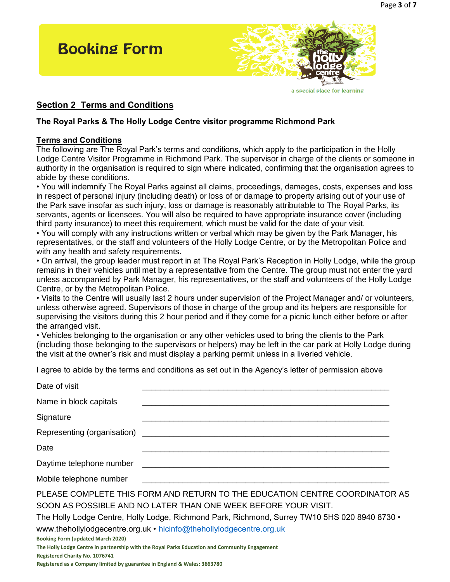

#### **Section 2 Terms and Conditions**

#### **The Royal Parks & The Holly Lodge Centre visitor programme Richmond Park**

#### **Terms and Conditions**

The following are The Royal Park's terms and conditions, which apply to the participation in the Holly Lodge Centre Visitor Programme in Richmond Park. The supervisor in charge of the clients or someone in authority in the organisation is required to sign where indicated, confirming that the organisation agrees to abide by these conditions.

• You will indemnify The Royal Parks against all claims, proceedings, damages, costs, expenses and loss in respect of personal injury (including death) or loss of or damage to property arising out of your use of the Park save insofar as such injury, loss or damage is reasonably attributable to The Royal Parks, its servants, agents or licensees. You will also be required to have appropriate insurance cover (including third party insurance) to meet this requirement, which must be valid for the date of your visit.

• You will comply with any instructions written or verbal which may be given by the Park Manager, his representatives, or the staff and volunteers of the Holly Lodge Centre, or by the Metropolitan Police and with any health and safety requirements.

• On arrival, the group leader must report in at The Royal Park's Reception in Holly Lodge, while the group remains in their vehicles until met by a representative from the Centre. The group must not enter the yard unless accompanied by Park Manager, his representatives, or the staff and volunteers of the Holly Lodge Centre, or by the Metropolitan Police.

• Visits to the Centre will usually last 2 hours under supervision of the Project Manager and/ or volunteers, unless otherwise agreed. Supervisors of those in charge of the group and its helpers are responsible for supervising the visitors during this 2 hour period and if they come for a picnic lunch either before or after the arranged visit.

• Vehicles belonging to the organisation or any other vehicles used to bring the clients to the Park (including those belonging to the supervisors or helpers) may be left in the car park at Holly Lodge during the visit at the owner's risk and must display a parking permit unless in a liveried vehicle.

I agree to abide by the terms and conditions as set out in the Agency's letter of permission above

| Date of visit                                                                                                                                 |  |
|-----------------------------------------------------------------------------------------------------------------------------------------------|--|
| Name in block capitals                                                                                                                        |  |
| Signature                                                                                                                                     |  |
|                                                                                                                                               |  |
| Date                                                                                                                                          |  |
|                                                                                                                                               |  |
|                                                                                                                                               |  |
| PLEASE COMPLETE THIS FORM AND RETURN TO THE EDUCATION CENTRE COORDINATOR AS<br>SOON AS POSSIBLE AND NO LATER THAN ONE WEEK BEFORE YOUR VISIT. |  |
| The Holly Lodge Centre, Holly Lodge, Richmond Park, Richmond, Surrey TW10 5HS 020 8940 8730 •                                                 |  |
| www.thehollylodgecentre.org.uk • hicinfo@thehollylodgecentre.org.uk                                                                           |  |
| <b>Booking Form (updated March 2020)</b>                                                                                                      |  |
| The Holly Lodge Centre in partnership with the Royal Parks Education and Community Engagement                                                 |  |
| Registered Charity No. 1076741                                                                                                                |  |
| Registered as a Company limited by guarantee in England & Wales: 3663780                                                                      |  |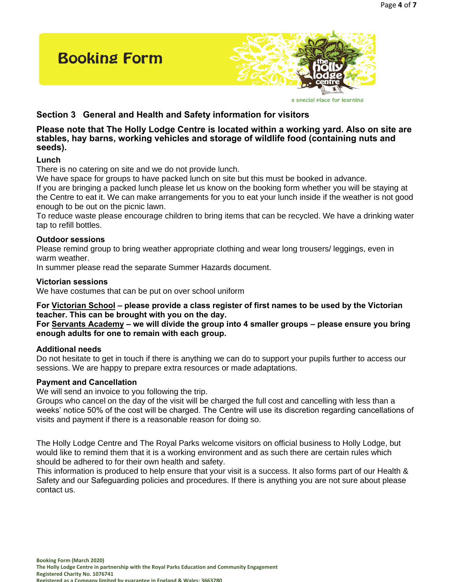

a special place for learning

## **Section 3 General and Health and Safety information for visitors**

#### **Please note that The Holly Lodge Centre is located within a working yard. Also on site are stables, hay barns, working vehicles and storage of wildlife food (containing nuts and seeds).**

#### **Lunch**

There is no catering on site and we do not provide lunch.

We have space for groups to have packed lunch on site but this must be booked in advance.

If you are bringing a packed lunch please let us know on the booking form whether you will be staying at the Centre to eat it. We can make arrangements for you to eat your lunch inside if the weather is not good enough to be out on the picnic lawn.

To reduce waste please encourage children to bring items that can be recycled. We have a drinking water tap to refill bottles.

#### **Outdoor sessions**

Please remind group to bring weather appropriate clothing and wear long trousers/ leggings, even in warm weather.

In summer please read the separate Summer Hazards document.

#### **Victorian sessions**

We have costumes that can be put on over school uniform

**For Victorian School – please provide a class register of first names to be used by the Victorian teacher. This can be brought with you on the day.** 

**For Servants Academy – we will divide the group into 4 smaller groups – please ensure you bring enough adults for one to remain with each group.** 

#### **Additional needs**

Do not hesitate to get in touch if there is anything we can do to support your pupils further to access our sessions. We are happy to prepare extra resources or made adaptations.

#### **Payment and Cancellation**

We will send an invoice to you following the trip.

Groups who cancel on the day of the visit will be charged the full cost and cancelling with less than a weeks' notice 50% of the cost will be charged. The Centre will use its discretion regarding cancellations of visits and payment if there is a reasonable reason for doing so.

The Holly Lodge Centre and The Royal Parks welcome visitors on official business to Holly Lodge, but would like to remind them that it is a working environment and as such there are certain rules which should be adhered to for their own health and safety.

This information is produced to help ensure that your visit is a success. It also forms part of our Health & Safety and our Safeguarding policies and procedures. If there is anything you are not sure about please contact us.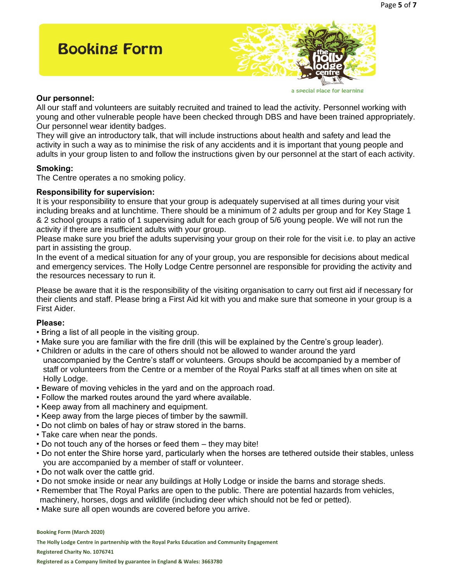# **Booking Form**



#### a special place for learning

#### **Our personnel:**

All our staff and volunteers are suitably recruited and trained to lead the activity. Personnel working with young and other vulnerable people have been checked through DBS and have been trained appropriately. Our personnel wear identity badges.

They will give an introductory talk, that will include instructions about health and safety and lead the activity in such a way as to minimise the risk of any accidents and it is important that young people and adults in your group listen to and follow the instructions given by our personnel at the start of each activity.

#### **Smoking:**

The Centre operates a no smoking policy.

#### **Responsibility for supervision:**

It is your responsibility to ensure that your group is adequately supervised at all times during your visit including breaks and at lunchtime. There should be a minimum of 2 adults per group and for Key Stage 1 & 2 school groups a ratio of 1 supervising adult for each group of 5/6 young people. We will not run the activity if there are insufficient adults with your group.

Please make sure you brief the adults supervising your group on their role for the visit i.e. to play an active part in assisting the group.

In the event of a medical situation for any of your group, you are responsible for decisions about medical and emergency services. The Holly Lodge Centre personnel are responsible for providing the activity and the resources necessary to run it.

Please be aware that it is the responsibility of the visiting organisation to carry out first aid if necessary for their clients and staff. Please bring a First Aid kit with you and make sure that someone in your group is a First Aider.

#### **Please:**

- Bring a list of all people in the visiting group.
- Make sure you are familiar with the fire drill (this will be explained by the Centre's group leader).
- Children or adults in the care of others should not be allowed to wander around the yard unaccompanied by the Centre's staff or volunteers. Groups should be accompanied by a member of staff or volunteers from the Centre or a member of the Royal Parks staff at all times when on site at Holly Lodge.
- Beware of moving vehicles in the yard and on the approach road.
- Follow the marked routes around the yard where available.
- Keep away from all machinery and equipment.
- Keep away from the large pieces of timber by the sawmill.
- Do not climb on bales of hay or straw stored in the barns.
- Take care when near the ponds.
- Do not touch any of the horses or feed them they may bite!
- Do not enter the Shire horse yard, particularly when the horses are tethered outside their stables, unless you are accompanied by a member of staff or volunteer.
- Do not walk over the cattle grid.
- Do not smoke inside or near any buildings at Holly Lodge or inside the barns and storage sheds.
- Remember that The Royal Parks are open to the public. There are potential hazards from vehicles, machinery, horses, dogs and wildlife (including deer which should not be fed or petted).
- Make sure all open wounds are covered before you arrive.

**Booking Form (March 2020)** 

**The Holly Lodge Centre in partnership with the Royal Parks Education and Community Engagement** 

**Registered Charity No. 1076741**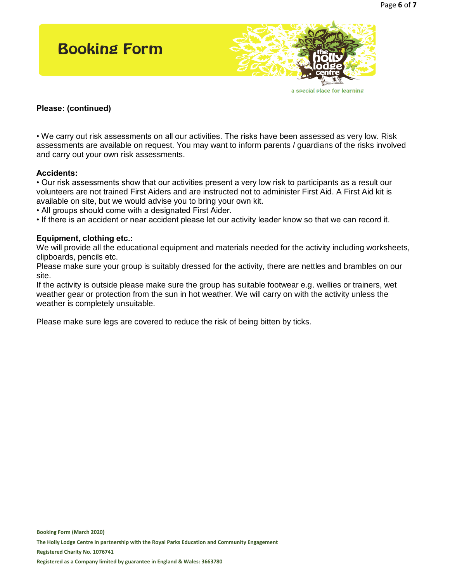

#### **Please: (continued)**

• We carry out risk assessments on all our activities. The risks have been assessed as very low. Risk assessments are available on request. You may want to inform parents / guardians of the risks involved and carry out your own risk assessments.

#### **Accidents:**

• Our risk assessments show that our activities present a very low risk to participants as a result our volunteers are not trained First Aiders and are instructed not to administer First Aid. A First Aid kit is available on site, but we would advise you to bring your own kit.

• All groups should come with a designated First Aider.

• If there is an accident or near accident please let our activity leader know so that we can record it.

#### **Equipment, clothing etc.:**

We will provide all the educational equipment and materials needed for the activity including worksheets, clipboards, pencils etc.

Please make sure your group is suitably dressed for the activity, there are nettles and brambles on our site.

If the activity is outside please make sure the group has suitable footwear e.g. wellies or trainers, wet weather gear or protection from the sun in hot weather. We will carry on with the activity unless the weather is completely unsuitable.

Please make sure legs are covered to reduce the risk of being bitten by ticks.